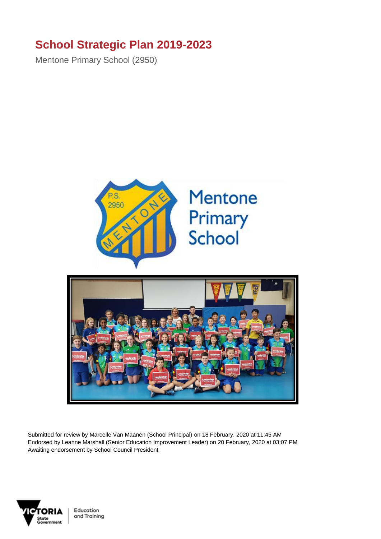## **School Strategic Plan 2019-2023**

Mentone Primary School (2950)





Submitted for review by Marcelle Van Maanen (School Principal) on 18 February, 2020 at 11:45 AM Endorsed by Leanne Marshall (Senior Education Improvement Leader) on 20 February, 2020 at 03:07 PM Awaiting endorsement by School Council President

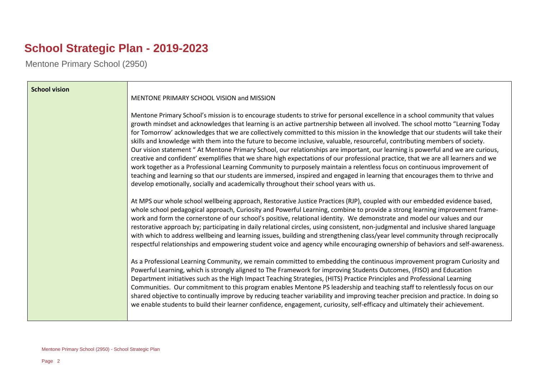# **School Strategic Plan - 2019-2023**

Mentone Primary School (2950)

| <b>School vision</b> |                                                                                                                                                                                                                                                                                                                                                                                                                                                                                                                                                                                                                                                                                                                                                                                                                                                                                                                                                                                                                                                                                                                                                               |
|----------------------|---------------------------------------------------------------------------------------------------------------------------------------------------------------------------------------------------------------------------------------------------------------------------------------------------------------------------------------------------------------------------------------------------------------------------------------------------------------------------------------------------------------------------------------------------------------------------------------------------------------------------------------------------------------------------------------------------------------------------------------------------------------------------------------------------------------------------------------------------------------------------------------------------------------------------------------------------------------------------------------------------------------------------------------------------------------------------------------------------------------------------------------------------------------|
|                      | MENTONE PRIMARY SCHOOL VISION and MISSION                                                                                                                                                                                                                                                                                                                                                                                                                                                                                                                                                                                                                                                                                                                                                                                                                                                                                                                                                                                                                                                                                                                     |
|                      | Mentone Primary School's mission is to encourage students to strive for personal excellence in a school community that values<br>growth mindset and acknowledges that learning is an active partnership between all involved. The school motto "Learning Today<br>for Tomorrow' acknowledges that we are collectively committed to this mission in the knowledge that our students will take their<br>skills and knowledge with them into the future to become inclusive, valuable, resourceful, contributing members of society.<br>Our vision statement "At Mentone Primary School, our relationships are important, our learning is powerful and we are curious,<br>creative and confident' exemplifies that we share high expectations of our professional practice, that we are all learners and we<br>work together as a Professional Learning Community to purposely maintain a relentless focus on continuous improvement of<br>teaching and learning so that our students are immersed, inspired and engaged in learning that encourages them to thrive and<br>develop emotionally, socially and academically throughout their school years with us. |
|                      | At MPS our whole school wellbeing approach, Restorative Justice Practices (RJP), coupled with our embedded evidence based,<br>whole school pedagogical approach, Curiosity and Powerful Learning, combine to provide a strong learning improvement frame-<br>work and form the cornerstone of our school's positive, relational identity. We demonstrate and model our values and our<br>restorative approach by; participating in daily relational circles, using consistent, non-judgmental and inclusive shared language<br>with which to address wellbeing and learning issues, building and strengthening class/year level community through reciprocally<br>respectful relationships and empowering student voice and agency while encouraging ownership of behaviors and self-awareness.                                                                                                                                                                                                                                                                                                                                                               |
|                      | As a Professional Learning Community, we remain committed to embedding the continuous improvement program Curiosity and<br>Powerful Learning, which is strongly aligned to The Framework for improving Students Outcomes, (FISO) and Education<br>Department initiatives such as the High Impact Teaching Strategies, (HITS) Practice Principles and Professional Learning<br>Communities. Our commitment to this program enables Mentone PS leadership and teaching staff to relentlessly focus on our<br>shared objective to continually improve by reducing teacher variability and improving teacher precision and practice. In doing so<br>we enable students to build their learner confidence, engagement, curiosity, self-efficacy and ultimately their achievement.                                                                                                                                                                                                                                                                                                                                                                                  |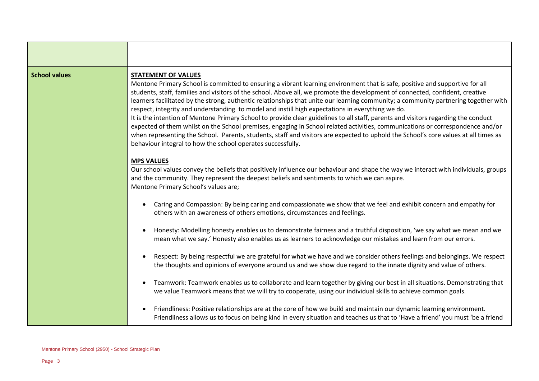#### **School values STATEMENT OF VALUES**

Mentone Primary School is committed to ensuring a vibrant learning environment that is safe, positive and supportive for all students, staff, families and visitors of the school. Above all, we promote the development of connected, confident, creative learners facilitated by the strong, authentic relationships that unite our learning community; a community partnering together with respect, integrity and understanding to model and instill high expectations in everything we do.

It is the intention of Mentone Primary School to provide clear guidelines to all staff, parents and visitors regarding the conduct expected of them whilst on the School premises, engaging in School related activities, communications or correspondence and/or when representing the School. Parents, students, staff and visitors are expected to uphold the School's core values at all times as behaviour integral to how the school operates successfully.

#### **MPS VALUES**

Our school values convey the beliefs that positively influence our behaviour and shape the way we interact with individuals, groups and the community. They represent the deepest beliefs and sentiments to which we can aspire. Mentone Primary School's values are;

- Caring and Compassion: By being caring and compassionate we show that we feel and exhibit concern and empathy for others with an awareness of others emotions, circumstances and feelings.
- Honesty: Modelling honesty enables us to demonstrate fairness and a truthful disposition, 'we say what we mean and we mean what we say.' Honesty also enables us as learners to acknowledge our mistakes and learn from our errors.
- Respect: By being respectful we are grateful for what we have and we consider others feelings and belongings. We respect the thoughts and opinions of everyone around us and we show due regard to the innate dignity and value of others.
- Teamwork: Teamwork enables us to collaborate and learn together by giving our best in all situations. Demonstrating that we value Teamwork means that we will try to cooperate, using our individual skills to achieve common goals.
- Friendliness: Positive relationships are at the core of how we build and maintain our dynamic learning environment. Friendliness allows us to focus on being kind in every situation and teaches us that to 'Have a friend' you must 'be a friend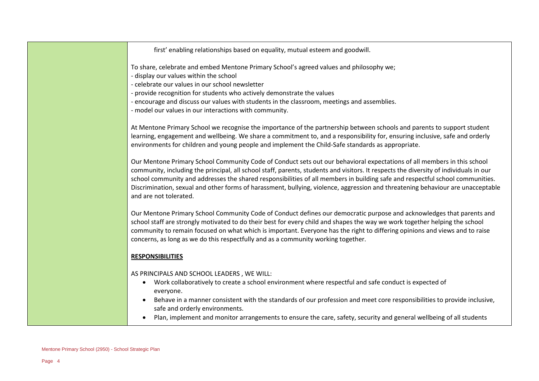first' enabling relationships based on equality, mutual esteem and goodwill.

To share, celebrate and embed Mentone Primary School's agreed values and philosophy we;

- display our values within the school
- celebrate our values in our school newsletter
- provide recognition for students who actively demonstrate the values
- encourage and discuss our values with students in the classroom, meetings and assemblies.
- model our values in our interactions with community.

At Mentone Primary School we recognise the importance of the partnership between schools and parents to support student learning, engagement and wellbeing. We share a commitment to, and a responsibility for, ensuring inclusive, safe and orderly environments for children and young people and implement the Child-Safe standards as appropriate.

Our Mentone Primary School Community Code of Conduct sets out our behavioral expectations of all members in this school community, including the principal, all school staff, parents, students and visitors. It respects the diversity of individuals in our school community and addresses the shared responsibilities of all members in building safe and respectful school communities. Discrimination, sexual and other forms of harassment, bullying, violence, aggression and threatening behaviour are unacceptable and are not tolerated.

Our Mentone Primary School Community Code of Conduct defines our democratic purpose and acknowledges that parents and school staff are strongly motivated to do their best for every child and shapes the way we work together helping the school community to remain focused on what which is important. Everyone has the right to differing opinions and views and to raise concerns, as long as we do this respectfully and as a community working together.

### **RESPONSIBILITIES**

AS PRINCIPALS AND SCHOOL LEADERS , WE WILL:

- Work collaboratively to create a school environment where respectful and safe conduct is expected of everyone.
- Behave in a manner consistent with the standards of our profession and meet core responsibilities to provide inclusive, safe and orderly environments.
- Plan, implement and monitor arrangements to ensure the care, safety, security and general wellbeing of all students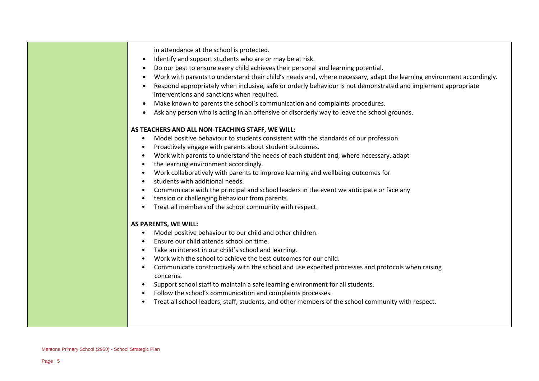in attendance at the school is protected.

- Identify and support students who are or may be at risk.
- Do our best to ensure every child achieves their personal and learning potential.
- Work with parents to understand their child's needs and, where necessary, adapt the learning environment accordingly.
- Respond appropriately when inclusive, safe or orderly behaviour is not demonstrated and implement appropriate interventions and sanctions when required.
- Make known to parents the school's communication and complaints procedures.
- Ask any person who is acting in an offensive or disorderly way to leave the school grounds.

#### **AS TEACHERS AND ALL NON-TEACHING STAFF, WE WILL:**

- Model positive behaviour to students consistent with the standards of our profession.
- Proactively engage with parents about student outcomes.
- Work with parents to understand the needs of each student and, where necessary, adapt
- the learning environment accordingly.
- Work collaboratively with parents to improve learning and wellbeing outcomes for
- students with additional needs.
- Communicate with the principal and school leaders in the event we anticipate or face any
- tension or challenging behaviour from parents.
- Treat all members of the school community with respect.

#### **AS PARENTS, WE WILL:**

- Model positive behaviour to our child and other children.
- Ensure our child attends school on time.
- Take an interest in our child's school and learning.
- Work with the school to achieve the best outcomes for our child.
- Communicate constructively with the school and use expected processes and protocols when raising concerns.
- Support school staff to maintain a safe learning environment for all students.
- Follow the school's communication and complaints processes.
- Treat all school leaders, staff, students, and other members of the school community with respect.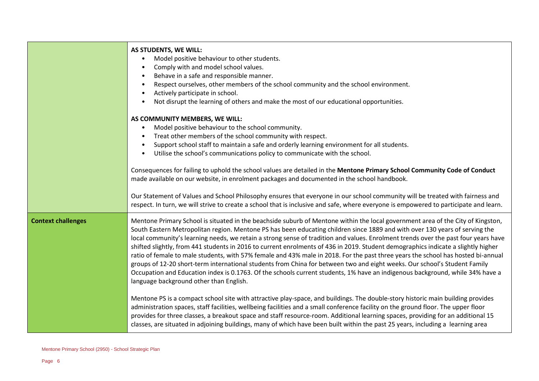|                           | AS STUDENTS, WE WILL:                                                                                                                                                                                                                                                                                                                                                                                                                                                                                                                                                                                                                                                                                                                                                                                                                                                                                                                                                                  |
|---------------------------|----------------------------------------------------------------------------------------------------------------------------------------------------------------------------------------------------------------------------------------------------------------------------------------------------------------------------------------------------------------------------------------------------------------------------------------------------------------------------------------------------------------------------------------------------------------------------------------------------------------------------------------------------------------------------------------------------------------------------------------------------------------------------------------------------------------------------------------------------------------------------------------------------------------------------------------------------------------------------------------|
|                           | Model positive behaviour to other students.                                                                                                                                                                                                                                                                                                                                                                                                                                                                                                                                                                                                                                                                                                                                                                                                                                                                                                                                            |
|                           | Comply with and model school values.                                                                                                                                                                                                                                                                                                                                                                                                                                                                                                                                                                                                                                                                                                                                                                                                                                                                                                                                                   |
|                           | Behave in a safe and responsible manner.                                                                                                                                                                                                                                                                                                                                                                                                                                                                                                                                                                                                                                                                                                                                                                                                                                                                                                                                               |
|                           | Respect ourselves, other members of the school community and the school environment.                                                                                                                                                                                                                                                                                                                                                                                                                                                                                                                                                                                                                                                                                                                                                                                                                                                                                                   |
|                           | Actively participate in school.                                                                                                                                                                                                                                                                                                                                                                                                                                                                                                                                                                                                                                                                                                                                                                                                                                                                                                                                                        |
|                           | Not disrupt the learning of others and make the most of our educational opportunities.                                                                                                                                                                                                                                                                                                                                                                                                                                                                                                                                                                                                                                                                                                                                                                                                                                                                                                 |
|                           | AS COMMUNITY MEMBERS, WE WILL:                                                                                                                                                                                                                                                                                                                                                                                                                                                                                                                                                                                                                                                                                                                                                                                                                                                                                                                                                         |
|                           | Model positive behaviour to the school community.                                                                                                                                                                                                                                                                                                                                                                                                                                                                                                                                                                                                                                                                                                                                                                                                                                                                                                                                      |
|                           | Treat other members of the school community with respect.                                                                                                                                                                                                                                                                                                                                                                                                                                                                                                                                                                                                                                                                                                                                                                                                                                                                                                                              |
|                           | Support school staff to maintain a safe and orderly learning environment for all students.                                                                                                                                                                                                                                                                                                                                                                                                                                                                                                                                                                                                                                                                                                                                                                                                                                                                                             |
|                           | Utilise the school's communications policy to communicate with the school.                                                                                                                                                                                                                                                                                                                                                                                                                                                                                                                                                                                                                                                                                                                                                                                                                                                                                                             |
|                           | Consequences for failing to uphold the school values are detailed in the Mentone Primary School Community Code of Conduct<br>made available on our website, in enrolment packages and documented in the school handbook.                                                                                                                                                                                                                                                                                                                                                                                                                                                                                                                                                                                                                                                                                                                                                               |
|                           | Our Statement of Values and School Philosophy ensures that everyone in our school community will be treated with fairness and<br>respect. In turn, we will strive to create a school that is inclusive and safe, where everyone is empowered to participate and learn.                                                                                                                                                                                                                                                                                                                                                                                                                                                                                                                                                                                                                                                                                                                 |
| <b>Context challenges</b> | Mentone Primary School is situated in the beachside suburb of Mentone within the local government area of the City of Kingston,<br>South Eastern Metropolitan region. Mentone PS has been educating children since 1889 and with over 130 years of serving the<br>local community's learning needs, we retain a strong sense of tradition and values. Enrolment trends over the past four years have<br>shifted slightly, from 441 students in 2016 to current enrolments of 436 in 2019. Student demographics indicate a slightly higher<br>ratio of female to male students, with 57% female and 43% male in 2018. For the past three years the school has hosted bi-annual<br>groups of 12-20 short-term international students from China for between two and eight weeks. Our school's Student Family<br>Occupation and Education index is 0.1763. Of the schools current students, 1% have an indigenous background, while 34% have a<br>language background other than English. |
|                           | Mentone PS is a compact school site with attractive play-space, and buildings. The double-story historic main building provides<br>administration spaces, staff facilities, wellbeing facilities and a small conference facility on the ground floor. The upper floor<br>provides for three classes, a breakout space and staff resource-room. Additional learning spaces, providing for an additional 15<br>classes, are situated in adjoining buildings, many of which have been built within the past 25 years, including a learning area                                                                                                                                                                                                                                                                                                                                                                                                                                           |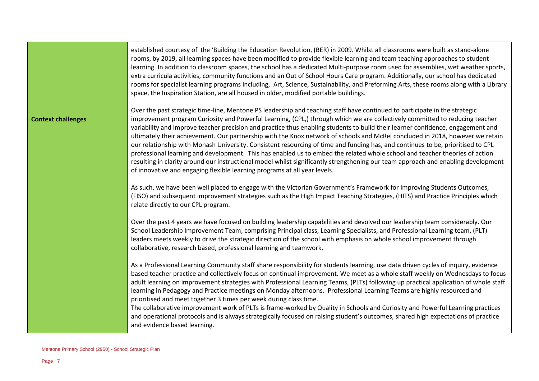established courtesy of the 'Building the Education Revolution, (BER) in 2009. Whilst all classrooms were built as stand-alone rooms, by 2019, all learning spaces have been modified to provide flexible learning and team teaching approaches to student learning. In addition to classroom spaces, the school has a dedicated Multi-purpose room used for assemblies, wet weather sports, extra curricula activities, community functions and an Out of School Hours Care program. Additionally, our school has dedicated rooms for specialist learning programs including, Art, Science, Sustainability, and Preforming Arts, these rooms along with a Library space, the Inspiration Station, are all housed in older, modified portable buildings.

#### **Context challenges**

Over the past strategic time-line, Mentone PS leadership and teaching staff have continued to participate in the strategic improvement program Curiosity and Powerful Learning, (CPL,) through which we are collectively committed to reducing teacher variability and improve teacher precision and practice thus enabling students to build their learner confidence, engagement and ultimately their achievement. Our partnership with the Knox network of schools and McRel concluded in 2018, however we retain our relationship with Monash University. Consistent resourcing of time and funding has, and continues to be, prioritised to CPL professional learning and development. This has enabled us to embed the related whole school and teacher theories of action resulting in clarity around our instructional model whilst significantly strengthening our team approach and enabling development of innovative and engaging flexible learning programs at all year levels.

As such, we have been well placed to engage with the Victorian Government's Framework for Improving Students Outcomes, (FISO) and subsequent improvement strategies such as the High Impact Teaching Strategies, (HITS) and Practice Principles which relate directly to our CPL program.

Over the past 4 years we have focused on building leadership capabilities and devolved our leadership team considerably. Our School Leadership Improvement Team, comprising Principal class, Learning Specialists, and Professional Learning team, (PLT) leaders meets weekly to drive the strategic direction of the school with emphasis on whole school improvement through collaborative, research based, professional learning and teamwork.

As a Professional Learning Community staff share responsibility for students learning, use data driven cycles of inquiry, evidence based teacher practice and collectively focus on continual improvement. We meet as a whole staff weekly on Wednesdays to focus adult learning on improvement strategies with Professional Learning Teams, (PLTs) following up practical application of whole staff learning in Pedagogy and Practice meetings on Monday afternoons. Professional Learning Teams are highly resourced and prioritised and meet together 3 times per week during class time.

The collaborative improvement work of PLTs is frame-worked by Quality in Schools and Curiosity and Powerful Learning practices and operational protocols and is always strategically focused on raising student's outcomes, shared high expectations of practice and evidence based learning.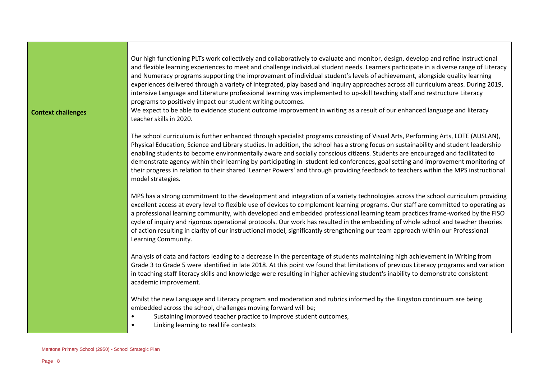Our high functioning PLTs work collectively and collaboratively to evaluate and monitor, design, develop and refine instructional and flexible learning experiences to meet and challenge individual student needs. Learners participate in a diverse range of Literacy and Numeracy programs supporting the improvement of individual student's levels of achievement, alongside quality learning experiences delivered through a variety of integrated, play based and inquiry approaches across all curriculum areas. During 2019, intensive Language and Literature professional learning was implemented to up-skill teaching staff and restructure Literacy programs to positively impact our student writing outcomes.

We expect to be able to evidence student outcome improvement in writing as a result of our enhanced language and literacy

#### **Context challenges**

The school curriculum is further enhanced through specialist programs consisting of Visual Arts, Performing Arts, LOTE (AUSLAN), Physical Education, Science and Library studies. In addition, the school has a strong focus on sustainability and student leadership enabling students to become environmentally aware and socially conscious citizens. Students are encouraged and facilitated to demonstrate agency within their learning by participating in student led conferences, goal setting and improvement monitoring of their progress in relation to their shared 'Learner Powers' and through providing feedback to teachers within the MPS instructional model strategies.

MPS has a strong commitment to the development and integration of a variety technologies across the school curriculum providing excellent access at every level to flexible use of devices to complement learning programs. Our staff are committed to operating as a professional learning community, with developed and embedded professional learning team practices frame-worked by the FISO cycle of inquiry and rigorous operational protocols. Our work has resulted in the embedding of whole school and teacher theories of action resulting in clarity of our instructional model, significantly strengthening our team approach within our Professional Learning Community.

Analysis of data and factors leading to a decrease in the percentage of students maintaining high achievement in Writing from Grade 3 to Grade 5 were identified in late 2018. At this point we found that limitations of previous Literacy programs and variation in teaching staff literacy skills and knowledge were resulting in higher achieving student's inability to demonstrate consistent academic improvement.

Whilst the new Language and Literacy program and moderation and rubrics informed by the Kingston continuum are being embedded across the school, challenges moving forward will be;

- Sustaining improved teacher practice to improve student outcomes,
- Linking learning to real life contexts

teacher skills in 2020.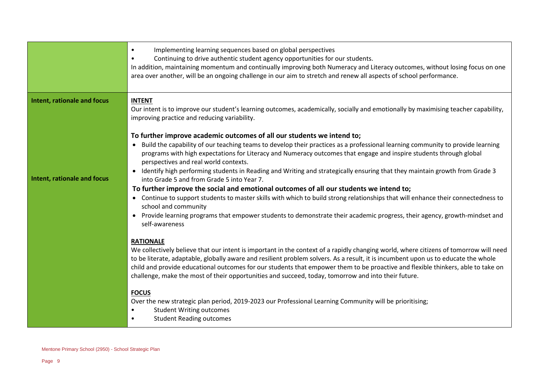|                             | Implementing learning sequences based on global perspectives<br>$\bullet$<br>Continuing to drive authentic student agency opportunities for our students.<br>In addition, maintaining momentum and continually improving both Numeracy and Literacy outcomes, without losing focus on one<br>area over another, will be an ongoing challenge in our aim to stretch and renew all aspects of school performance.                                                                                                        |
|-----------------------------|------------------------------------------------------------------------------------------------------------------------------------------------------------------------------------------------------------------------------------------------------------------------------------------------------------------------------------------------------------------------------------------------------------------------------------------------------------------------------------------------------------------------|
| Intent, rationale and focus | <b>INTENT</b><br>Our intent is to improve our student's learning outcomes, academically, socially and emotionally by maximising teacher capability,<br>improving practice and reducing variability.                                                                                                                                                                                                                                                                                                                    |
|                             | To further improve academic outcomes of all our students we intend to;                                                                                                                                                                                                                                                                                                                                                                                                                                                 |
|                             | Build the capability of our teaching teams to develop their practices as a professional learning community to provide learning<br>$\bullet$<br>programs with high expectations for Literacy and Numeracy outcomes that engage and inspire students through global<br>perspectives and real world contexts.                                                                                                                                                                                                             |
| Intent, rationale and focus | Identify high performing students in Reading and Writing and strategically ensuring that they maintain growth from Grade 3<br>into Grade 5 and from Grade 5 into Year 7.                                                                                                                                                                                                                                                                                                                                               |
|                             | To further improve the social and emotional outcomes of all our students we intend to;                                                                                                                                                                                                                                                                                                                                                                                                                                 |
|                             | • Continue to support students to master skills with which to build strong relationships that will enhance their connectedness to<br>school and community                                                                                                                                                                                                                                                                                                                                                              |
|                             | Provide learning programs that empower students to demonstrate their academic progress, their agency, growth-mindset and<br>self-awareness                                                                                                                                                                                                                                                                                                                                                                             |
|                             | <b>RATIONALE</b>                                                                                                                                                                                                                                                                                                                                                                                                                                                                                                       |
|                             | We collectively believe that our intent is important in the context of a rapidly changing world, where citizens of tomorrow will need<br>to be literate, adaptable, globally aware and resilient problem solvers. As a result, it is incumbent upon us to educate the whole<br>child and provide educational outcomes for our students that empower them to be proactive and flexible thinkers, able to take on<br>challenge, make the most of their opportunities and succeed, today, tomorrow and into their future. |
|                             | <b>FOCUS</b>                                                                                                                                                                                                                                                                                                                                                                                                                                                                                                           |
|                             | Over the new strategic plan period, 2019-2023 our Professional Learning Community will be prioritising;                                                                                                                                                                                                                                                                                                                                                                                                                |
|                             | <b>Student Writing outcomes</b>                                                                                                                                                                                                                                                                                                                                                                                                                                                                                        |
|                             | <b>Student Reading outcomes</b>                                                                                                                                                                                                                                                                                                                                                                                                                                                                                        |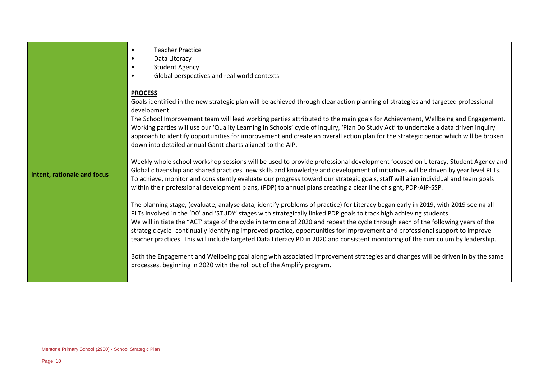|                                    | <b>Teacher Practice</b><br>$\bullet$<br>Data Literacy<br>$\bullet$<br><b>Student Agency</b><br>$\bullet$<br>Global perspectives and real world contexts<br>$\bullet$                                                                                                                                                                                                                                                                                                                                                                                                                                                                                               |
|------------------------------------|--------------------------------------------------------------------------------------------------------------------------------------------------------------------------------------------------------------------------------------------------------------------------------------------------------------------------------------------------------------------------------------------------------------------------------------------------------------------------------------------------------------------------------------------------------------------------------------------------------------------------------------------------------------------|
|                                    | <b>PROCESS</b><br>Goals identified in the new strategic plan will be achieved through clear action planning of strategies and targeted professional<br>development.<br>The School Improvement team will lead working parties attributed to the main goals for Achievement, Wellbeing and Engagement.<br>Working parties will use our 'Quality Learning in Schools' cycle of inquiry, 'Plan Do Study Act' to undertake a data driven inquiry<br>approach to identify opportunities for improvement and create an overall action plan for the strategic period which will be broken<br>down into detailed annual Gantt charts aligned to the AIP.                    |
| <b>Intent, rationale and focus</b> | Weekly whole school workshop sessions will be used to provide professional development focused on Literacy, Student Agency and<br>Global citizenship and shared practices, new skills and knowledge and development of initiatives will be driven by year level PLTs.<br>To achieve, monitor and consistently evaluate our progress toward our strategic goals, staff will align individual and team goals<br>within their professional development plans, (PDP) to annual plans creating a clear line of sight, PDP-AIP-SSP.                                                                                                                                      |
|                                    | The planning stage, (evaluate, analyse data, identify problems of practice) for Literacy began early in 2019, with 2019 seeing all<br>PLTs involved in the 'DO' and 'STUDY' stages with strategically linked PDP goals to track high achieving students.<br>We will initiate the "ACT' stage of the cycle in term one of 2020 and repeat the cycle through each of the following years of the<br>strategic cycle-continually identifying improved practice, opportunities for improvement and professional support to improve<br>teacher practices. This will include targeted Data Literacy PD in 2020 and consistent monitoring of the curriculum by leadership. |
|                                    | Both the Engagement and Wellbeing goal along with associated improvement strategies and changes will be driven in by the same<br>processes, beginning in 2020 with the roll out of the Amplify program.                                                                                                                                                                                                                                                                                                                                                                                                                                                            |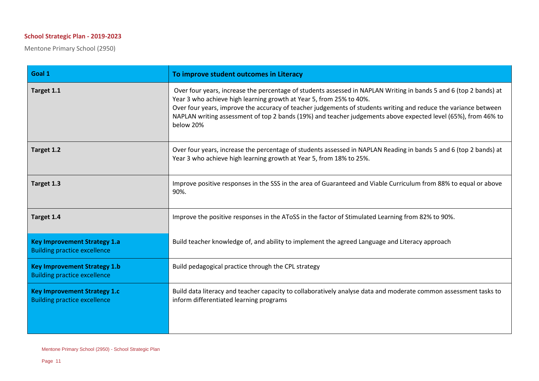### **School Strategic Plan - 2019-2023**

Mentone Primary School (2950)

| Goal 1                                                                     | To improve student outcomes in Literacy                                                                                                                                                                                                                                                                                                                                                                                                   |
|----------------------------------------------------------------------------|-------------------------------------------------------------------------------------------------------------------------------------------------------------------------------------------------------------------------------------------------------------------------------------------------------------------------------------------------------------------------------------------------------------------------------------------|
| Target 1.1                                                                 | Over four years, increase the percentage of students assessed in NAPLAN Writing in bands 5 and 6 (top 2 bands) at<br>Year 3 who achieve high learning growth at Year 5, from 25% to 40%.<br>Over four years, improve the accuracy of teacher judgements of students writing and reduce the variance between<br>NAPLAN writing assessment of top 2 bands (19%) and teacher judgements above expected level (65%), from 46% to<br>below 20% |
| Target 1.2                                                                 | Over four years, increase the percentage of students assessed in NAPLAN Reading in bands 5 and 6 (top 2 bands) at<br>Year 3 who achieve high learning growth at Year 5, from 18% to 25%.                                                                                                                                                                                                                                                  |
| Target 1.3                                                                 | Improve positive responses in the SSS in the area of Guaranteed and Viable Curriculum from 88% to equal or above<br>90%.                                                                                                                                                                                                                                                                                                                  |
| Target 1.4                                                                 | Improve the positive responses in the AToSS in the factor of Stimulated Learning from 82% to 90%.                                                                                                                                                                                                                                                                                                                                         |
| <b>Key Improvement Strategy 1.a</b><br><b>Building practice excellence</b> | Build teacher knowledge of, and ability to implement the agreed Language and Literacy approach                                                                                                                                                                                                                                                                                                                                            |
| <b>Key Improvement Strategy 1.b</b><br><b>Building practice excellence</b> | Build pedagogical practice through the CPL strategy                                                                                                                                                                                                                                                                                                                                                                                       |
| <b>Key Improvement Strategy 1.c</b><br><b>Building practice excellence</b> | Build data literacy and teacher capacity to collaboratively analyse data and moderate common assessment tasks to<br>inform differentiated learning programs                                                                                                                                                                                                                                                                               |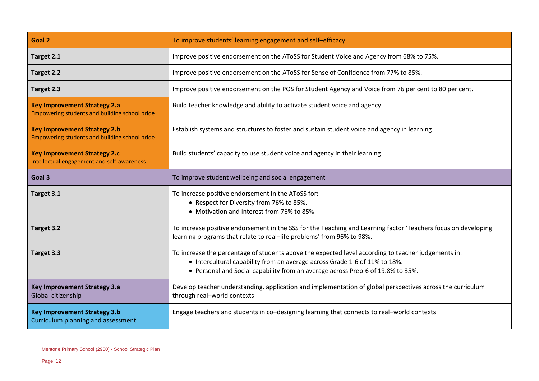| Goal 2                                                                               | To improve students' learning engagement and self-efficacy                                                                                                                                                                                                           |
|--------------------------------------------------------------------------------------|----------------------------------------------------------------------------------------------------------------------------------------------------------------------------------------------------------------------------------------------------------------------|
| Target 2.1                                                                           | Improve positive endorsement on the AToSS for Student Voice and Agency from 68% to 75%.                                                                                                                                                                              |
| Target 2.2                                                                           | Improve positive endorsement on the AToSS for Sense of Confidence from 77% to 85%.                                                                                                                                                                                   |
| Target 2.3                                                                           | Improve positive endorsement on the POS for Student Agency and Voice from 76 per cent to 80 per cent.                                                                                                                                                                |
| <b>Key Improvement Strategy 2.a</b><br>Empowering students and building school pride | Build teacher knowledge and ability to activate student voice and agency                                                                                                                                                                                             |
| <b>Key Improvement Strategy 2.b</b><br>Empowering students and building school pride | Establish systems and structures to foster and sustain student voice and agency in learning                                                                                                                                                                          |
| <b>Key Improvement Strategy 2.c</b><br>Intellectual engagement and self-awareness    | Build students' capacity to use student voice and agency in their learning                                                                                                                                                                                           |
| Goal 3                                                                               | To improve student wellbeing and social engagement                                                                                                                                                                                                                   |
|                                                                                      |                                                                                                                                                                                                                                                                      |
| Target 3.1                                                                           | To increase positive endorsement in the AToSS for:<br>• Respect for Diversity from 76% to 85%.<br>• Motivation and Interest from 76% to 85%.                                                                                                                         |
| Target 3.2                                                                           | To increase positive endorsement in the SSS for the Teaching and Learning factor 'Teachers focus on developing<br>learning programs that relate to real-life problems' from 96% to 98%.                                                                              |
| Target 3.3                                                                           | To increase the percentage of students above the expected level according to teacher judgements in:<br>• Intercultural capability from an average across Grade 1-6 of 11% to 18%.<br>• Personal and Social capability from an average across Prep-6 of 19.8% to 35%. |
| <b>Key Improvement Strategy 3.a</b><br>Global citizenship                            | Develop teacher understanding, application and implementation of global perspectives across the curriculum<br>through real-world contexts                                                                                                                            |